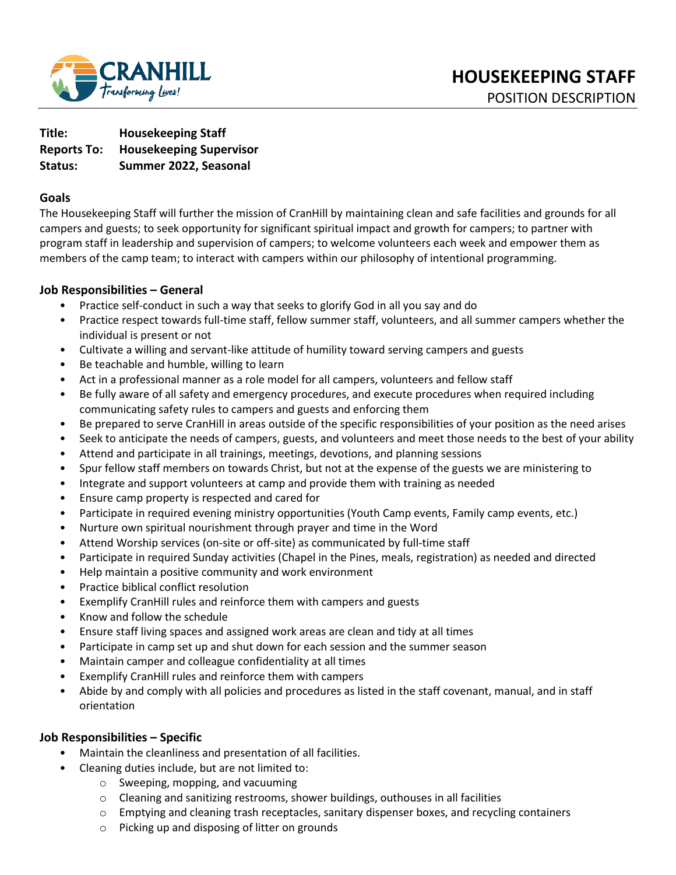

**Title: Housekeeping Staff Reports To: Housekeeping Supervisor Status: Summer 2022, Seasonal** 

#### **Goals**

The Housekeeping Staff will further the mission of CranHill by maintaining clean and safe facilities and grounds for all campers and guests; to seek opportunity for significant spiritual impact and growth for campers; to partner with program staff in leadership and supervision of campers; to welcome volunteers each week and empower them as members of the camp team; to interact with campers within our philosophy of intentional programming.

### **Job Responsibilities – General**

- Practice self-conduct in such a way that seeks to glorify God in all you say and do
- Practice respect towards full-time staff, fellow summer staff, volunteers, and all summer campers whether the individual is present or not
- Cultivate a willing and servant-like attitude of humility toward serving campers and guests
- Be teachable and humble, willing to learn
- Act in a professional manner as a role model for all campers, volunteers and fellow staff
- Be fully aware of all safety and emergency procedures, and execute procedures when required including communicating safety rules to campers and guests and enforcing them
- Be prepared to serve CranHill in areas outside of the specific responsibilities of your position as the need arises
- Seek to anticipate the needs of campers, guests, and volunteers and meet those needs to the best of your ability
- Attend and participate in all trainings, meetings, devotions, and planning sessions
- Spur fellow staff members on towards Christ, but not at the expense of the guests we are ministering to
- Integrate and support volunteers at camp and provide them with training as needed
- Ensure camp property is respected and cared for
- Participate in required evening ministry opportunities (Youth Camp events, Family camp events, etc.)
- Nurture own spiritual nourishment through prayer and time in the Word
- Attend Worship services (on-site or off-site) as communicated by full-time staff
- Participate in required Sunday activities (Chapel in the Pines, meals, registration) as needed and directed
- Help maintain a positive community and work environment
- Practice biblical conflict resolution
- Exemplify CranHill rules and reinforce them with campers and guests
- Know and follow the schedule
- Ensure staff living spaces and assigned work areas are clean and tidy at all times
- Participate in camp set up and shut down for each session and the summer season
- Maintain camper and colleague confidentiality at all times
- Exemplify CranHill rules and reinforce them with campers
- Abide by and comply with all policies and procedures as listed in the staff covenant, manual, and in staff orientation

## **Job Responsibilities – Specific**

- Maintain the cleanliness and presentation of all facilities.
- Cleaning duties include, but are not limited to:
	- o Sweeping, mopping, and vacuuming
	- $\circ$  Cleaning and sanitizing restrooms, shower buildings, outhouses in all facilities
	- $\circ$  Emptying and cleaning trash receptacles, sanitary dispenser boxes, and recycling containers
	- o Picking up and disposing of litter on grounds